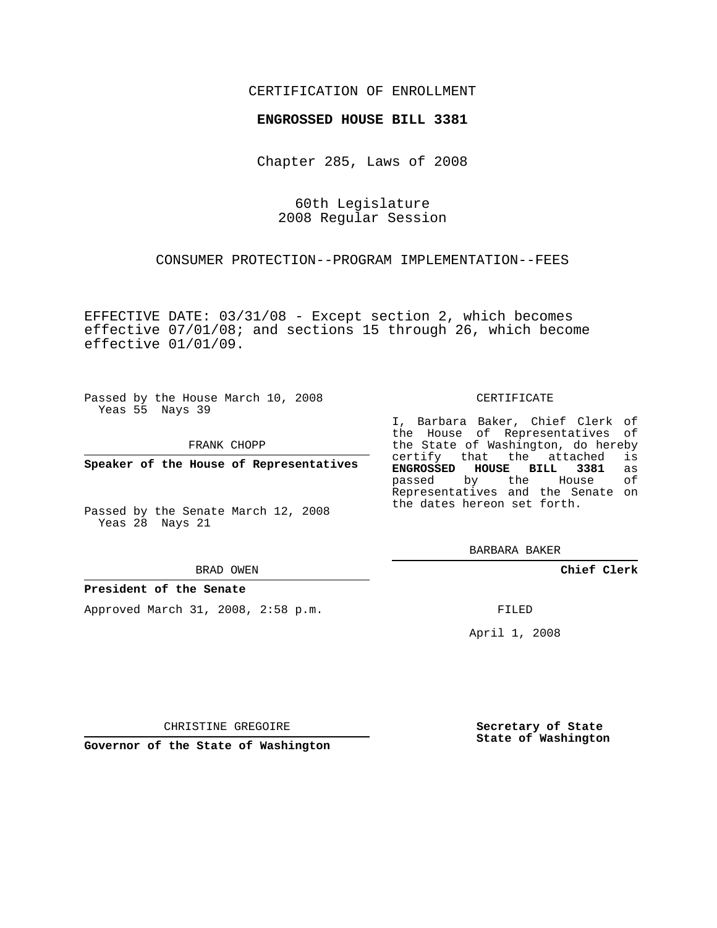## CERTIFICATION OF ENROLLMENT

## **ENGROSSED HOUSE BILL 3381**

Chapter 285, Laws of 2008

60th Legislature 2008 Regular Session

CONSUMER PROTECTION--PROGRAM IMPLEMENTATION--FEES

EFFECTIVE DATE: 03/31/08 - Except section 2, which becomes effective 07/01/08; and sections 15 through 26, which become effective 01/01/09.

Passed by the House March 10, 2008 Yeas 55 Nays 39

FRANK CHOPP

**Speaker of the House of Representatives**

Passed by the Senate March 12, 2008 Yeas 28 Nays 21

BRAD OWEN

## **President of the Senate**

Approved March 31, 2008, 2:58 p.m.

CERTIFICATE

I, Barbara Baker, Chief Clerk of the House of Representatives of the State of Washington, do hereby<br>certify that the attached is certify that the attached **ENGROSSED HOUSE BILL 3381** as passed by the Representatives and the Senate on the dates hereon set forth.

BARBARA BAKER

**Chief Clerk**

FILED

April 1, 2008

CHRISTINE GREGOIRE

**Governor of the State of Washington**

**Secretary of State State of Washington**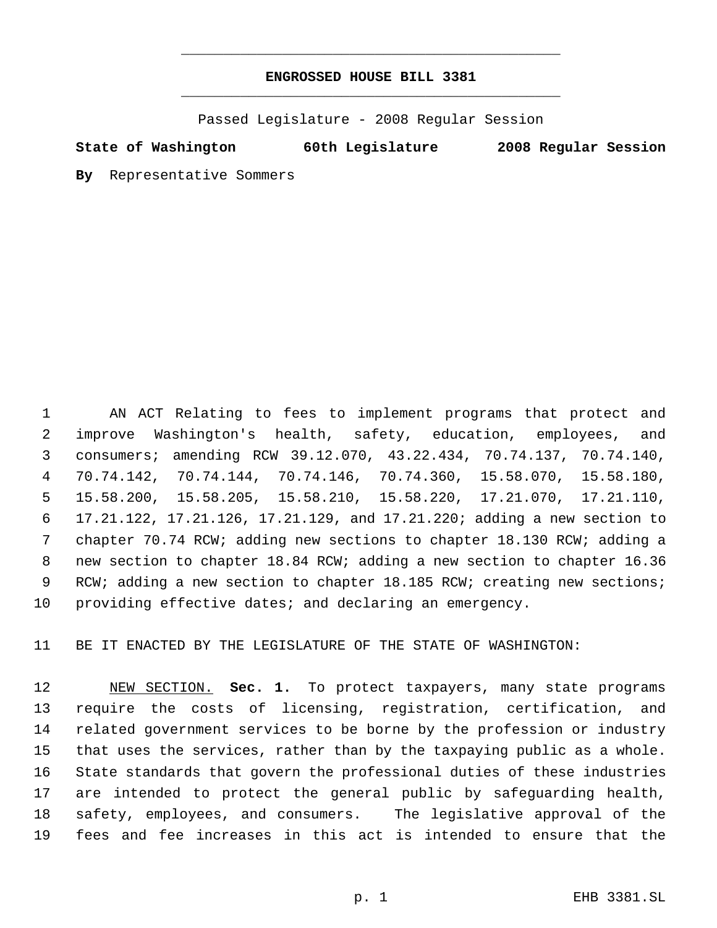## **ENGROSSED HOUSE BILL 3381** \_\_\_\_\_\_\_\_\_\_\_\_\_\_\_\_\_\_\_\_\_\_\_\_\_\_\_\_\_\_\_\_\_\_\_\_\_\_\_\_\_\_\_\_\_

\_\_\_\_\_\_\_\_\_\_\_\_\_\_\_\_\_\_\_\_\_\_\_\_\_\_\_\_\_\_\_\_\_\_\_\_\_\_\_\_\_\_\_\_\_

Passed Legislature - 2008 Regular Session

**State of Washington 60th Legislature 2008 Regular Session**

**By** Representative Sommers

 AN ACT Relating to fees to implement programs that protect and improve Washington's health, safety, education, employees, and consumers; amending RCW 39.12.070, 43.22.434, 70.74.137, 70.74.140, 70.74.142, 70.74.144, 70.74.146, 70.74.360, 15.58.070, 15.58.180, 15.58.200, 15.58.205, 15.58.210, 15.58.220, 17.21.070, 17.21.110, 17.21.122, 17.21.126, 17.21.129, and 17.21.220; adding a new section to chapter 70.74 RCW; adding new sections to chapter 18.130 RCW; adding a new section to chapter 18.84 RCW; adding a new section to chapter 16.36 9 RCW; adding a new section to chapter 18.185 RCW; creating new sections; providing effective dates; and declaring an emergency.

BE IT ENACTED BY THE LEGISLATURE OF THE STATE OF WASHINGTON:

 NEW SECTION. **Sec. 1.** To protect taxpayers, many state programs require the costs of licensing, registration, certification, and related government services to be borne by the profession or industry that uses the services, rather than by the taxpaying public as a whole. State standards that govern the professional duties of these industries are intended to protect the general public by safeguarding health, safety, employees, and consumers. The legislative approval of the fees and fee increases in this act is intended to ensure that the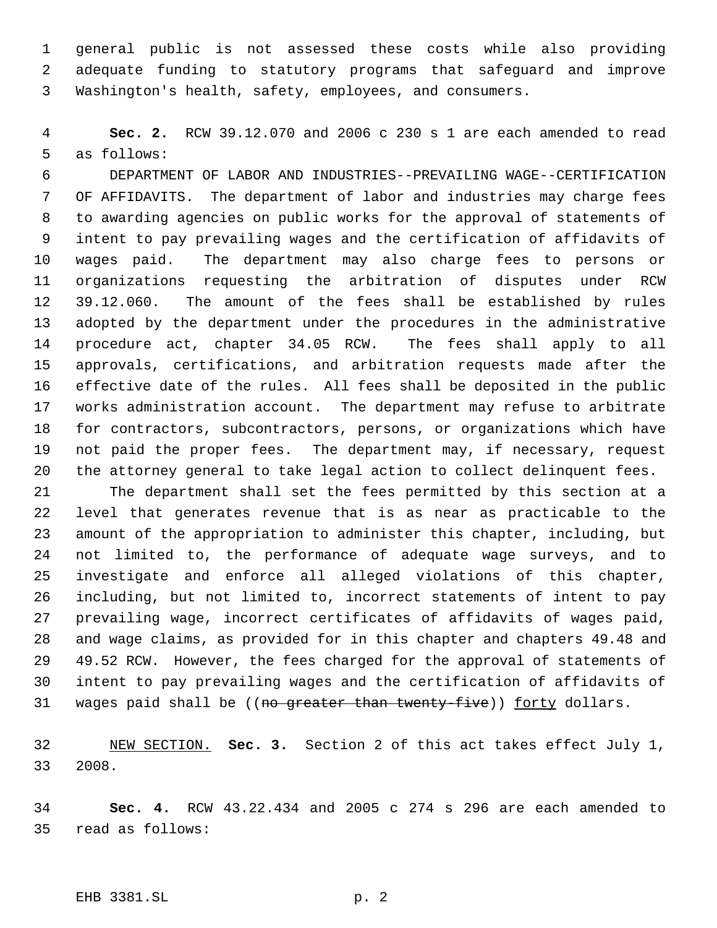general public is not assessed these costs while also providing adequate funding to statutory programs that safeguard and improve Washington's health, safety, employees, and consumers.

 **Sec. 2.** RCW 39.12.070 and 2006 c 230 s 1 are each amended to read as follows:

 DEPARTMENT OF LABOR AND INDUSTRIES--PREVAILING WAGE--CERTIFICATION OF AFFIDAVITS. The department of labor and industries may charge fees to awarding agencies on public works for the approval of statements of intent to pay prevailing wages and the certification of affidavits of wages paid. The department may also charge fees to persons or organizations requesting the arbitration of disputes under RCW 39.12.060. The amount of the fees shall be established by rules adopted by the department under the procedures in the administrative procedure act, chapter 34.05 RCW. The fees shall apply to all approvals, certifications, and arbitration requests made after the effective date of the rules. All fees shall be deposited in the public works administration account. The department may refuse to arbitrate for contractors, subcontractors, persons, or organizations which have not paid the proper fees. The department may, if necessary, request the attorney general to take legal action to collect delinquent fees.

 The department shall set the fees permitted by this section at a level that generates revenue that is as near as practicable to the amount of the appropriation to administer this chapter, including, but not limited to, the performance of adequate wage surveys, and to investigate and enforce all alleged violations of this chapter, including, but not limited to, incorrect statements of intent to pay prevailing wage, incorrect certificates of affidavits of wages paid, and wage claims, as provided for in this chapter and chapters 49.48 and 49.52 RCW. However, the fees charged for the approval of statements of intent to pay prevailing wages and the certification of affidavits of 31 wages paid shall be ((no greater than twenty-five)) forty dollars.

 NEW SECTION. **Sec. 3.** Section 2 of this act takes effect July 1, 2008.

 **Sec. 4.** RCW 43.22.434 and 2005 c 274 s 296 are each amended to read as follows: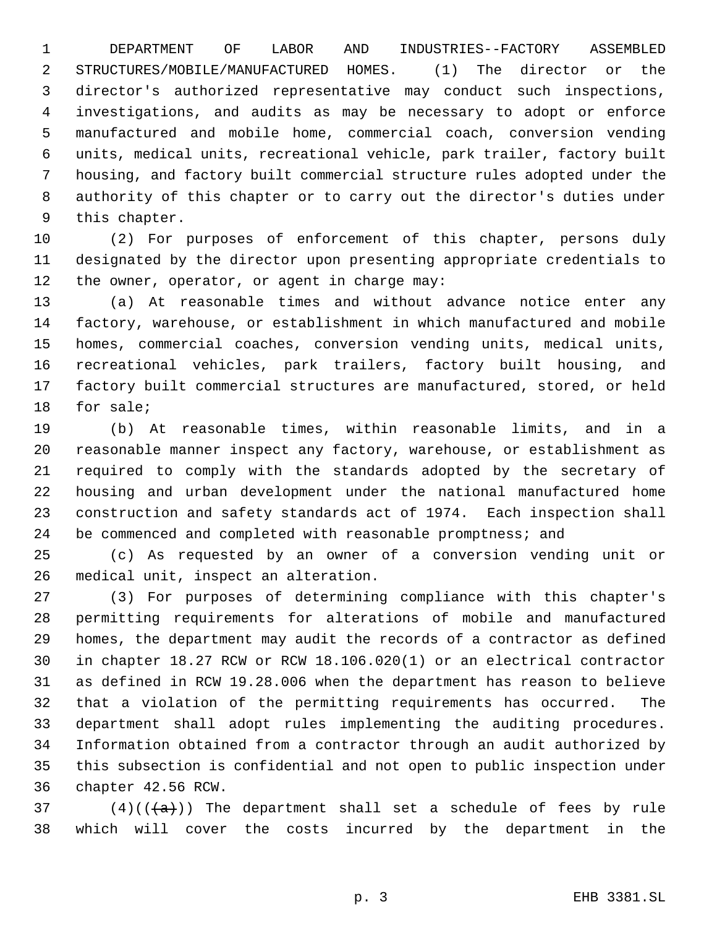DEPARTMENT OF LABOR AND INDUSTRIES--FACTORY ASSEMBLED STRUCTURES/MOBILE/MANUFACTURED HOMES. (1) The director or the director's authorized representative may conduct such inspections, investigations, and audits as may be necessary to adopt or enforce manufactured and mobile home, commercial coach, conversion vending units, medical units, recreational vehicle, park trailer, factory built housing, and factory built commercial structure rules adopted under the authority of this chapter or to carry out the director's duties under this chapter.

 (2) For purposes of enforcement of this chapter, persons duly designated by the director upon presenting appropriate credentials to the owner, operator, or agent in charge may:

 (a) At reasonable times and without advance notice enter any factory, warehouse, or establishment in which manufactured and mobile homes, commercial coaches, conversion vending units, medical units, recreational vehicles, park trailers, factory built housing, and factory built commercial structures are manufactured, stored, or held for sale;

 (b) At reasonable times, within reasonable limits, and in a reasonable manner inspect any factory, warehouse, or establishment as required to comply with the standards adopted by the secretary of housing and urban development under the national manufactured home construction and safety standards act of 1974. Each inspection shall 24 be commenced and completed with reasonable promptness; and

 (c) As requested by an owner of a conversion vending unit or medical unit, inspect an alteration.

 (3) For purposes of determining compliance with this chapter's permitting requirements for alterations of mobile and manufactured homes, the department may audit the records of a contractor as defined in chapter 18.27 RCW or RCW 18.106.020(1) or an electrical contractor as defined in RCW 19.28.006 when the department has reason to believe that a violation of the permitting requirements has occurred. The department shall adopt rules implementing the auditing procedures. Information obtained from a contractor through an audit authorized by this subsection is confidential and not open to public inspection under chapter 42.56 RCW.

37 (4)(( $\frac{1}{a}$ )) The department shall set a schedule of fees by rule which will cover the costs incurred by the department in the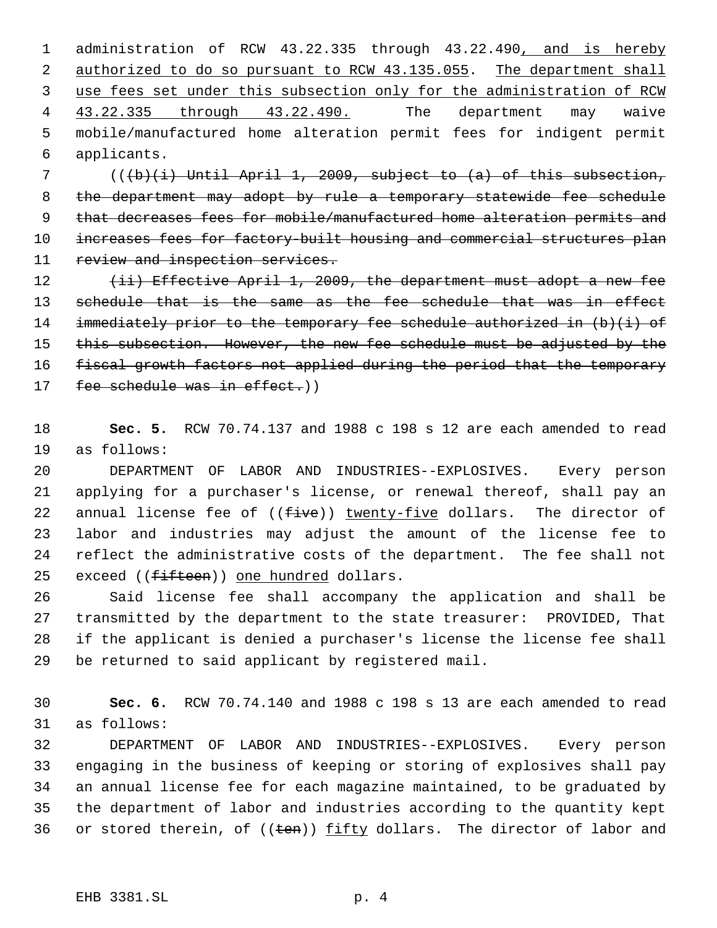administration of RCW 43.22.335 through 43.22.490, and is hereby 2 authorized to do so pursuant to RCW 43.135.055. The department shall use fees set under this subsection only for the administration of RCW 43.22.335 through 43.22.490. The department may waive mobile/manufactured home alteration permit fees for indigent permit applicants.

 7 (((b)(i) Until April 1, 2009, subject to (a) of this subsection, 8 the department may adopt by rule a temporary statewide fee schedule 9 that decreases fees for mobile/manufactured home alteration permits and 10 increases fees for factory-built housing and commercial structures plan 11 review and inspection services.

12 (ii) Effective April 1, 2009, the department must adopt a new fee 13 schedule that is the same as the fee schedule that was in effect 14 immediately prior to the temporary fee schedule authorized in  $(b)(i)$  of 15 this subsection. However, the new fee schedule must be adjusted by the 16 fiscal growth factors not applied during the period that the temporary 17 fee schedule was in effect.))

18 **Sec. 5.** RCW 70.74.137 and 1988 c 198 s 12 are each amended to read 19 as follows:

 DEPARTMENT OF LABOR AND INDUSTRIES--EXPLOSIVES. Every person applying for a purchaser's license, or renewal thereof, shall pay an 22 annual license fee of  $((five))$  twenty-five dollars. The director of labor and industries may adjust the amount of the license fee to reflect the administrative costs of the department. The fee shall not 25 exceed ((fifteen)) one hundred dollars.

 Said license fee shall accompany the application and shall be transmitted by the department to the state treasurer: PROVIDED, That if the applicant is denied a purchaser's license the license fee shall be returned to said applicant by registered mail.

30 **Sec. 6.** RCW 70.74.140 and 1988 c 198 s 13 are each amended to read 31 as follows:

 DEPARTMENT OF LABOR AND INDUSTRIES--EXPLOSIVES. Every person engaging in the business of keeping or storing of explosives shall pay an annual license fee for each magazine maintained, to be graduated by the department of labor and industries according to the quantity kept 36 or stored therein, of  $((\text{ten}))$  fifty dollars. The director of labor and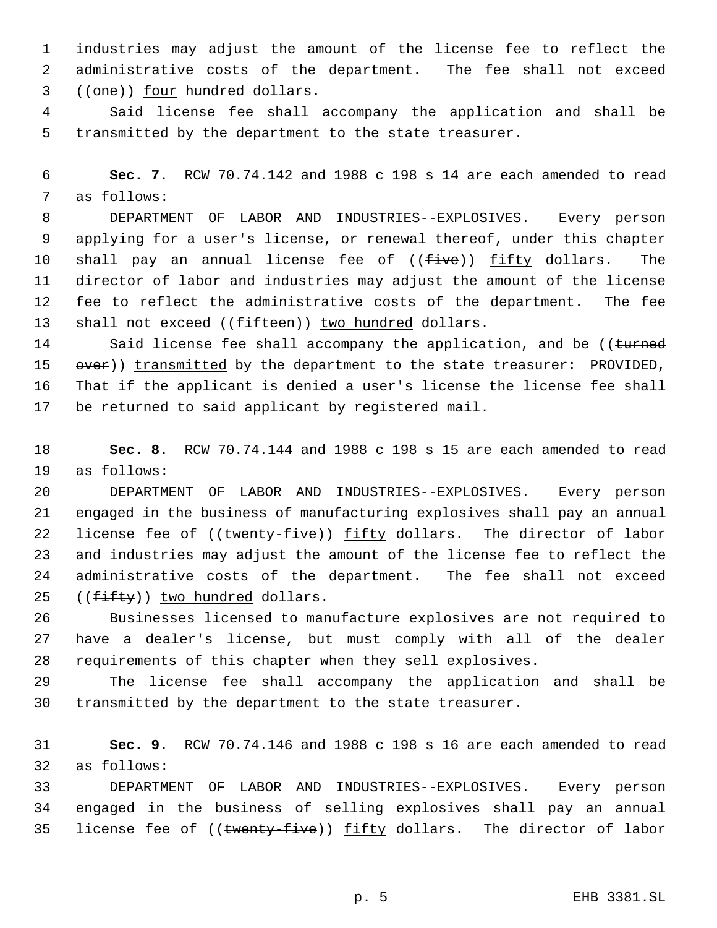industries may adjust the amount of the license fee to reflect the administrative costs of the department. The fee shall not exceed ((one)) four hundred dollars.

 Said license fee shall accompany the application and shall be transmitted by the department to the state treasurer.

 **Sec. 7.** RCW 70.74.142 and 1988 c 198 s 14 are each amended to read as follows:

 DEPARTMENT OF LABOR AND INDUSTRIES--EXPLOSIVES. Every person applying for a user's license, or renewal thereof, under this chapter 10 shall pay an annual license fee of ((five)) fifty dollars. The director of labor and industries may adjust the amount of the license fee to reflect the administrative costs of the department. The fee 13 shall not exceed ((fifteen)) two hundred dollars.

14 Said license fee shall accompany the application, and be ((turned 15 over)) transmitted by the department to the state treasurer: PROVIDED, That if the applicant is denied a user's license the license fee shall be returned to said applicant by registered mail.

 **Sec. 8.** RCW 70.74.144 and 1988 c 198 s 15 are each amended to read as follows:

 DEPARTMENT OF LABOR AND INDUSTRIES--EXPLOSIVES. Every person engaged in the business of manufacturing explosives shall pay an annual 22 license fee of ((twenty-five)) fifty dollars. The director of labor and industries may adjust the amount of the license fee to reflect the administrative costs of the department. The fee shall not exceed  $((fiff+y))$  two hundred dollars.

 Businesses licensed to manufacture explosives are not required to have a dealer's license, but must comply with all of the dealer requirements of this chapter when they sell explosives.

 The license fee shall accompany the application and shall be transmitted by the department to the state treasurer.

 **Sec. 9.** RCW 70.74.146 and 1988 c 198 s 16 are each amended to read as follows:

 DEPARTMENT OF LABOR AND INDUSTRIES--EXPLOSIVES. Every person engaged in the business of selling explosives shall pay an annual 35 license fee of ((twenty five)) fifty dollars. The director of labor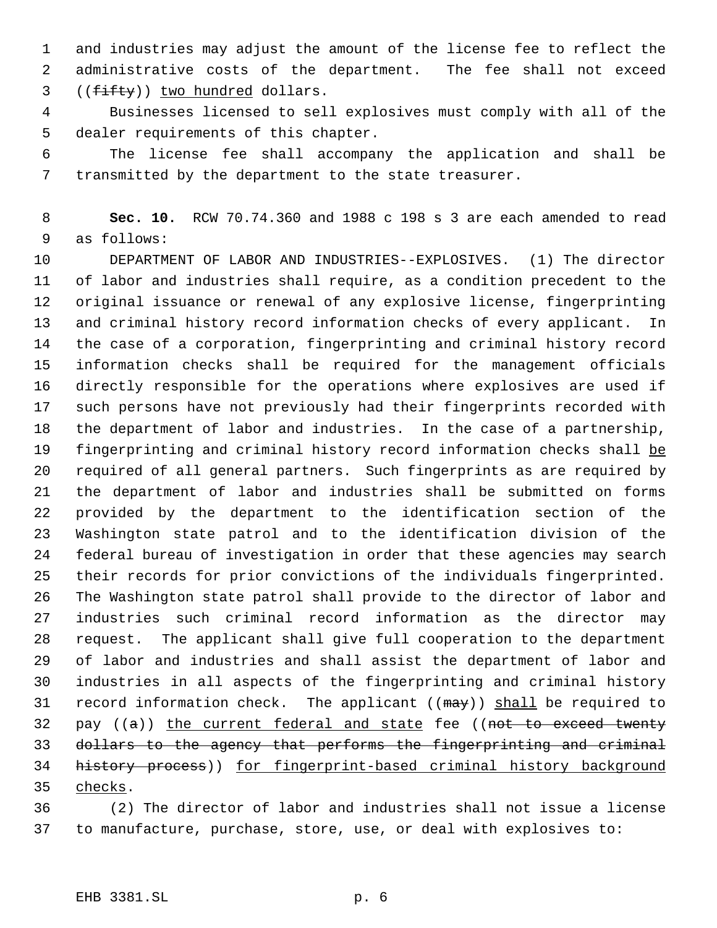and industries may adjust the amount of the license fee to reflect the administrative costs of the department. The fee shall not exceed 3 ((fifty)) two hundred dollars.

 Businesses licensed to sell explosives must comply with all of the dealer requirements of this chapter.

 The license fee shall accompany the application and shall be transmitted by the department to the state treasurer.

 **Sec. 10.** RCW 70.74.360 and 1988 c 198 s 3 are each amended to read as follows:

 DEPARTMENT OF LABOR AND INDUSTRIES--EXPLOSIVES. (1) The director of labor and industries shall require, as a condition precedent to the original issuance or renewal of any explosive license, fingerprinting and criminal history record information checks of every applicant. In the case of a corporation, fingerprinting and criminal history record information checks shall be required for the management officials directly responsible for the operations where explosives are used if such persons have not previously had their fingerprints recorded with the department of labor and industries. In the case of a partnership, 19 fingerprinting and criminal history record information checks shall be required of all general partners. Such fingerprints as are required by the department of labor and industries shall be submitted on forms provided by the department to the identification section of the Washington state patrol and to the identification division of the federal bureau of investigation in order that these agencies may search their records for prior convictions of the individuals fingerprinted. The Washington state patrol shall provide to the director of labor and industries such criminal record information as the director may request. The applicant shall give full cooperation to the department of labor and industries and shall assist the department of labor and industries in all aspects of the fingerprinting and criminal history 31 record information check. The applicant ( $(\text{max})$ ) shall be required to 32 pay  $((a))$  the current federal and state fee  $((not-to-exceed+wert)$  dollars to the agency that performs the fingerprinting and criminal history process)) for fingerprint-based criminal history background checks.

 (2) The director of labor and industries shall not issue a license to manufacture, purchase, store, use, or deal with explosives to: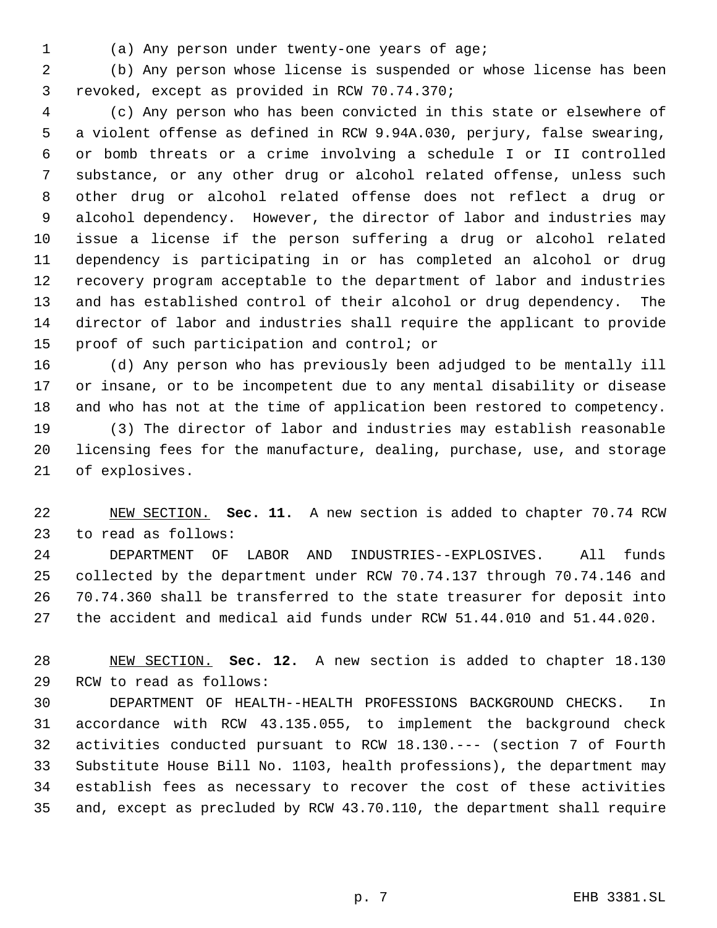- 
- (a) Any person under twenty-one years of age;

 (b) Any person whose license is suspended or whose license has been revoked, except as provided in RCW 70.74.370;

 (c) Any person who has been convicted in this state or elsewhere of a violent offense as defined in RCW 9.94A.030, perjury, false swearing, or bomb threats or a crime involving a schedule I or II controlled substance, or any other drug or alcohol related offense, unless such other drug or alcohol related offense does not reflect a drug or alcohol dependency. However, the director of labor and industries may issue a license if the person suffering a drug or alcohol related dependency is participating in or has completed an alcohol or drug recovery program acceptable to the department of labor and industries and has established control of their alcohol or drug dependency. The director of labor and industries shall require the applicant to provide proof of such participation and control; or

 (d) Any person who has previously been adjudged to be mentally ill or insane, or to be incompetent due to any mental disability or disease and who has not at the time of application been restored to competency.

 (3) The director of labor and industries may establish reasonable licensing fees for the manufacture, dealing, purchase, use, and storage of explosives.

 NEW SECTION. **Sec. 11.** A new section is added to chapter 70.74 RCW to read as follows:

 DEPARTMENT OF LABOR AND INDUSTRIES--EXPLOSIVES. All funds collected by the department under RCW 70.74.137 through 70.74.146 and 70.74.360 shall be transferred to the state treasurer for deposit into the accident and medical aid funds under RCW 51.44.010 and 51.44.020.

 NEW SECTION. **Sec. 12.** A new section is added to chapter 18.130 RCW to read as follows:

 DEPARTMENT OF HEALTH--HEALTH PROFESSIONS BACKGROUND CHECKS. In accordance with RCW 43.135.055, to implement the background check activities conducted pursuant to RCW 18.130.--- (section 7 of Fourth Substitute House Bill No. 1103, health professions), the department may establish fees as necessary to recover the cost of these activities and, except as precluded by RCW 43.70.110, the department shall require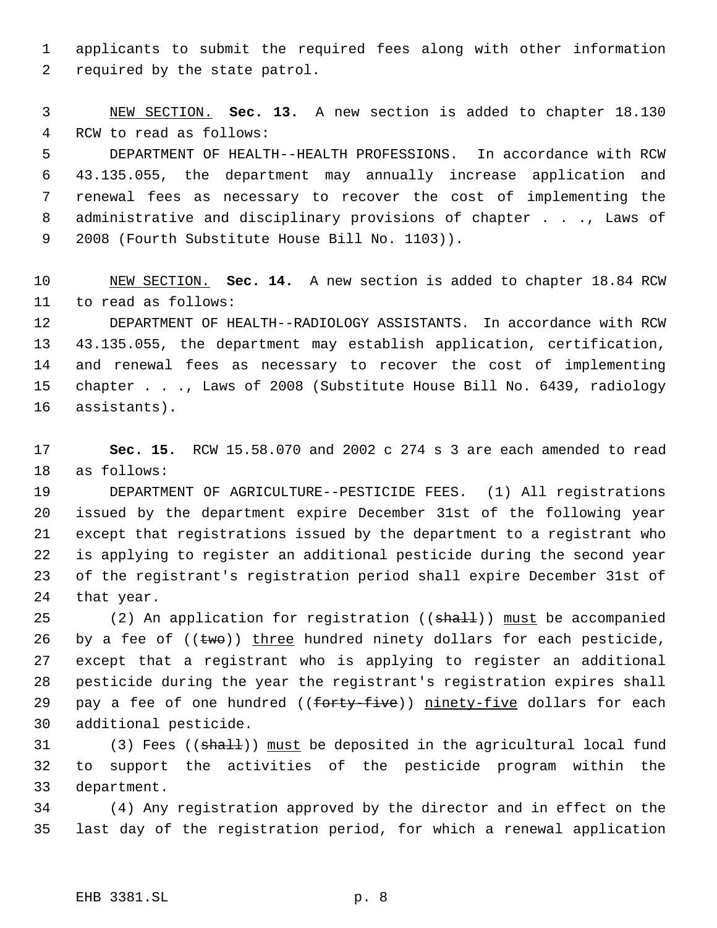applicants to submit the required fees along with other information required by the state patrol.

 NEW SECTION. **Sec. 13.** A new section is added to chapter 18.130 RCW to read as follows: DEPARTMENT OF HEALTH--HEALTH PROFESSIONS. In accordance with RCW 43.135.055, the department may annually increase application and renewal fees as necessary to recover the cost of implementing the administrative and disciplinary provisions of chapter . . ., Laws of 2008 (Fourth Substitute House Bill No. 1103)).

 NEW SECTION. **Sec. 14.** A new section is added to chapter 18.84 RCW to read as follows:

 DEPARTMENT OF HEALTH--RADIOLOGY ASSISTANTS. In accordance with RCW 43.135.055, the department may establish application, certification, and renewal fees as necessary to recover the cost of implementing chapter . . ., Laws of 2008 (Substitute House Bill No. 6439, radiology assistants).

 **Sec. 15.** RCW 15.58.070 and 2002 c 274 s 3 are each amended to read as follows:

 DEPARTMENT OF AGRICULTURE--PESTICIDE FEES. (1) All registrations issued by the department expire December 31st of the following year except that registrations issued by the department to a registrant who is applying to register an additional pesticide during the second year of the registrant's registration period shall expire December 31st of that year.

25 (2) An application for registration ((shall)) must be accompanied 26 by a fee of  $((\text{two}))$  three hundred ninety dollars for each pesticide, except that a registrant who is applying to register an additional pesticide during the year the registrant's registration expires shall 29 pay a fee of one hundred ((forty-five)) ninety-five dollars for each additional pesticide.

31 (3) Fees ((shall)) must be deposited in the agricultural local fund to support the activities of the pesticide program within the department.

 (4) Any registration approved by the director and in effect on the last day of the registration period, for which a renewal application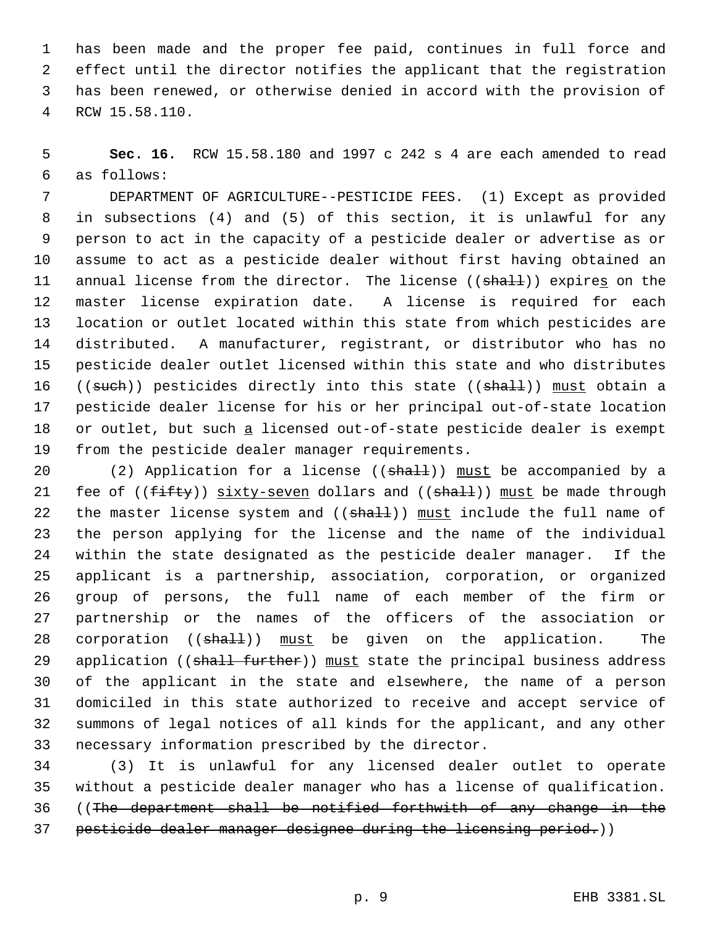has been made and the proper fee paid, continues in full force and effect until the director notifies the applicant that the registration has been renewed, or otherwise denied in accord with the provision of RCW 15.58.110.

 **Sec. 16.** RCW 15.58.180 and 1997 c 242 s 4 are each amended to read as follows:

 DEPARTMENT OF AGRICULTURE--PESTICIDE FEES. (1) Except as provided in subsections (4) and (5) of this section, it is unlawful for any person to act in the capacity of a pesticide dealer or advertise as or assume to act as a pesticide dealer without first having obtained an 11 annual license from the director. The license ((shall)) expires on the master license expiration date. A license is required for each location or outlet located within this state from which pesticides are distributed. A manufacturer, registrant, or distributor who has no pesticide dealer outlet licensed within this state and who distributes 16 ((such)) pesticides directly into this state ((shall)) must obtain a pesticide dealer license for his or her principal out-of-state location 18 or outlet, but such a licensed out-of-state pesticide dealer is exempt from the pesticide dealer manager requirements.

20 (2) Application for a license ((shall)) must be accompanied by a 21 fee of  $((fiff)y)$  sixty-seven dollars and  $((shall))$  must be made through 22 the master license system and  $((shath))$  must include the full name of the person applying for the license and the name of the individual within the state designated as the pesticide dealer manager. If the applicant is a partnership, association, corporation, or organized group of persons, the full name of each member of the firm or partnership or the names of the officers of the association or 28 corporation ((shall)) must be given on the application. The 29 application ((shall further)) must state the principal business address of the applicant in the state and elsewhere, the name of a person domiciled in this state authorized to receive and accept service of summons of legal notices of all kinds for the applicant, and any other necessary information prescribed by the director.

 (3) It is unlawful for any licensed dealer outlet to operate without a pesticide dealer manager who has a license of qualification. ((The department shall be notified forthwith of any change in the 37 pesticide dealer manager designee during the licensing period.))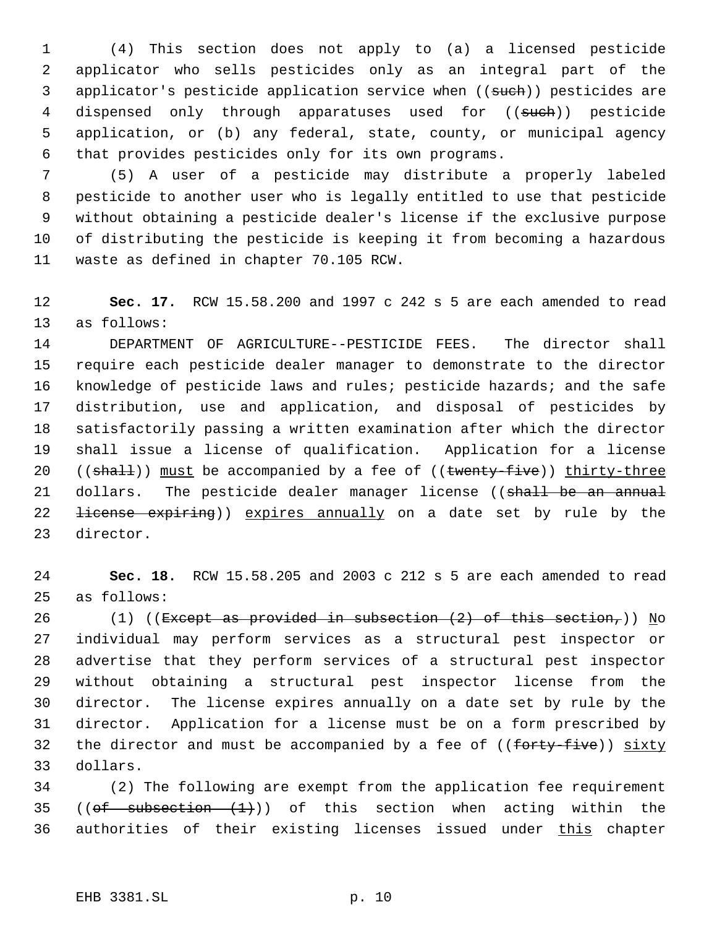(4) This section does not apply to (a) a licensed pesticide applicator who sells pesticides only as an integral part of the 3 applicator's pesticide application service when ((such)) pesticides are 4 dispensed only through apparatuses used for ((such)) pesticide application, or (b) any federal, state, county, or municipal agency that provides pesticides only for its own programs.

 (5) A user of a pesticide may distribute a properly labeled pesticide to another user who is legally entitled to use that pesticide without obtaining a pesticide dealer's license if the exclusive purpose of distributing the pesticide is keeping it from becoming a hazardous waste as defined in chapter 70.105 RCW.

 **Sec. 17.** RCW 15.58.200 and 1997 c 242 s 5 are each amended to read as follows:

 DEPARTMENT OF AGRICULTURE--PESTICIDE FEES. The director shall require each pesticide dealer manager to demonstrate to the director knowledge of pesticide laws and rules; pesticide hazards; and the safe distribution, use and application, and disposal of pesticides by satisfactorily passing a written examination after which the director shall issue a license of qualification. Application for a license 20 ((shall)) must be accompanied by a fee of ((twenty-five)) thirty-three 21 dollars. The pesticide dealer manager license ((shall be an annual 22 <del>license expiring</del>)) expires annually on a date set by rule by the director.

 **Sec. 18.** RCW 15.58.205 and 2003 c 212 s 5 are each amended to read as follows:

26 (1) ((Except as provided in subsection  $(2)$  of this section,)) No individual may perform services as a structural pest inspector or advertise that they perform services of a structural pest inspector without obtaining a structural pest inspector license from the director. The license expires annually on a date set by rule by the director. Application for a license must be on a form prescribed by 32 the director and must be accompanied by a fee of  $((f<sub>orty-five</sub>))$  sixty dollars.

 (2) The following are exempt from the application fee requirement 35 (( $of$  subsection  $(1)$ )) of this section when acting within the 36 authorities of their existing licenses issued under this chapter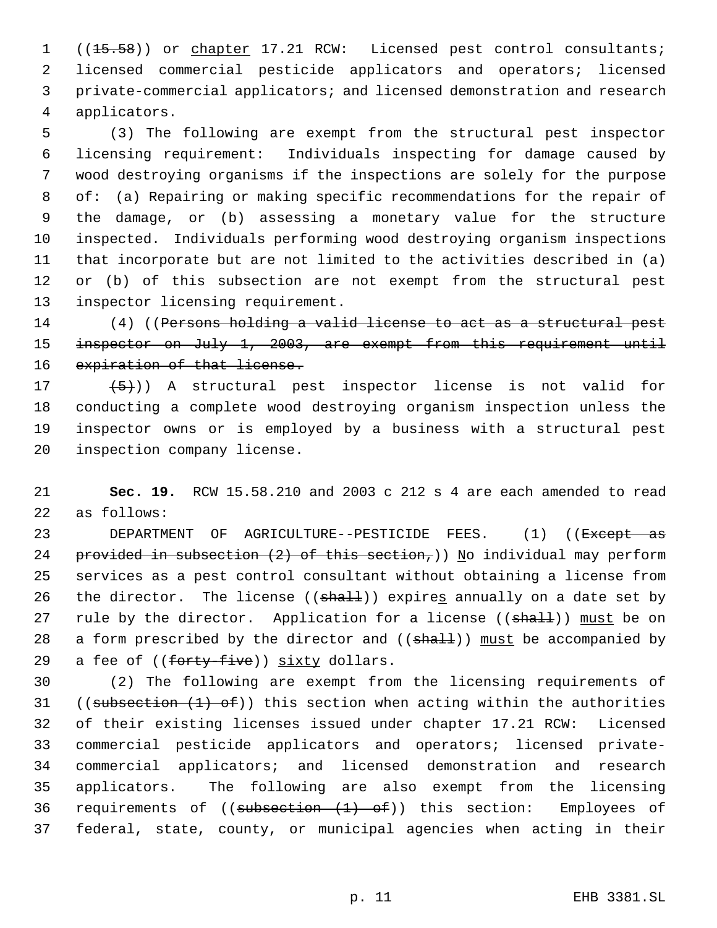1 ((<del>15.58</del>)) or chapter 17.21 RCW: Licensed pest control consultants; licensed commercial pesticide applicators and operators; licensed private-commercial applicators; and licensed demonstration and research applicators.

 (3) The following are exempt from the structural pest inspector licensing requirement: Individuals inspecting for damage caused by wood destroying organisms if the inspections are solely for the purpose of: (a) Repairing or making specific recommendations for the repair of the damage, or (b) assessing a monetary value for the structure inspected. Individuals performing wood destroying organism inspections that incorporate but are not limited to the activities described in (a) 12 or (b) of this subsection are not exempt from the structural pest inspector licensing requirement.

14 (4) ((Persons holding a valid license to act as a structural pest 15 inspector on July 1, 2003, are exempt from this requirement until 16 expiration of that license.

 $(5)$ )) A structural pest inspector license is not valid for conducting a complete wood destroying organism inspection unless the inspector owns or is employed by a business with a structural pest inspection company license.

 **Sec. 19.** RCW 15.58.210 and 2003 c 212 s 4 are each amended to read as follows:

23 DEPARTMENT OF AGRICULTURE--PESTICIDE FEES. (1) ((<del>Except as</del> 24 provided in subsection  $(2)$  of this section,)) No individual may perform services as a pest control consultant without obtaining a license from 26 the director. The license ( $(\text{shalt})$ ) expires annually on a date set by 27 rule by the director. Application for a license ((shall)) must be on 28 a form prescribed by the director and  $((shall))$  must be accompanied by 29 a fee of ((forty-five)) sixty dollars.

 (2) The following are exempt from the licensing requirements of 31 ((subsection  $(1)$  of)) this section when acting within the authorities of their existing licenses issued under chapter 17.21 RCW: Licensed commercial pesticide applicators and operators; licensed private- commercial applicators; and licensed demonstration and research applicators. The following are also exempt from the licensing 36 requirements of  $((subsection + 1) - of))$  this section: Employees of federal, state, county, or municipal agencies when acting in their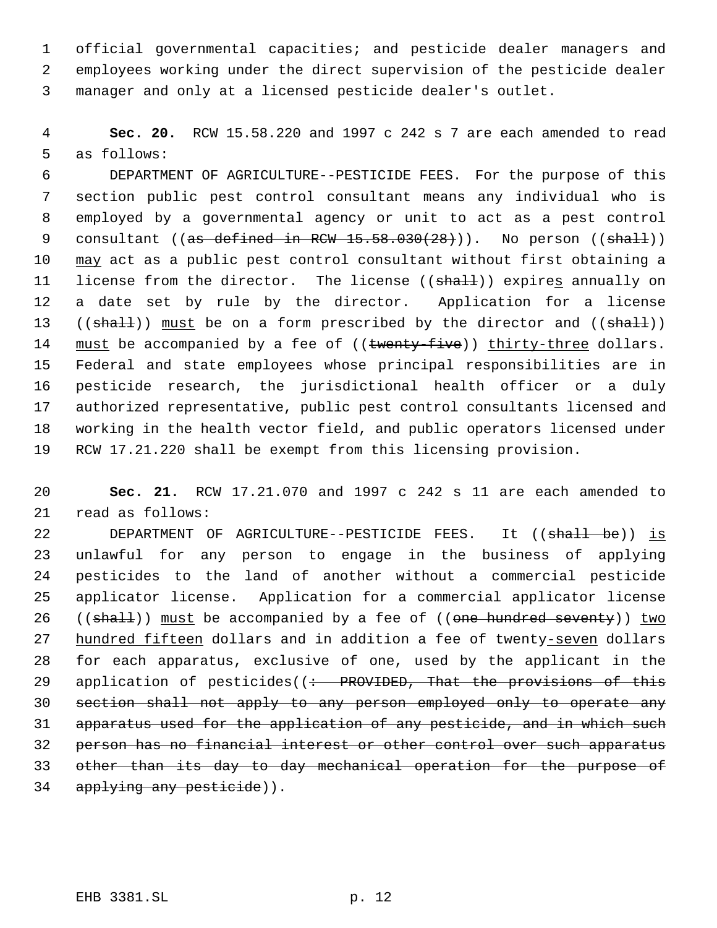official governmental capacities; and pesticide dealer managers and employees working under the direct supervision of the pesticide dealer manager and only at a licensed pesticide dealer's outlet.

 **Sec. 20.** RCW 15.58.220 and 1997 c 242 s 7 are each amended to read as follows:

 DEPARTMENT OF AGRICULTURE--PESTICIDE FEES. For the purpose of this section public pest control consultant means any individual who is employed by a governmental agency or unit to act as a pest control 9 consultant (( $a$ s defined in RCW  $15.58.030(28)$ )). No person (( $shall$ )) 10 may act as a public pest control consultant without first obtaining a 11 license from the director. The license ((shall)) expires annually on a date set by rule by the director. Application for a license 13 ((shall)) must be on a form prescribed by the director and ((shall)) 14 must be accompanied by a fee of ((twenty-five)) thirty-three dollars. Federal and state employees whose principal responsibilities are in pesticide research, the jurisdictional health officer or a duly authorized representative, public pest control consultants licensed and working in the health vector field, and public operators licensed under RCW 17.21.220 shall be exempt from this licensing provision.

 **Sec. 21.** RCW 17.21.070 and 1997 c 242 s 11 are each amended to read as follows:

22 DEPARTMENT OF AGRICULTURE--PESTICIDE FEES. It ((shall be)) is unlawful for any person to engage in the business of applying pesticides to the land of another without a commercial pesticide applicator license. Application for a commercial applicator license 26 ((shall)) must be accompanied by a fee of ((one hundred seventy)) two hundred fifteen dollars and in addition a fee of twenty-seven dollars for each apparatus, exclusive of one, used by the applicant in the 29 application of pesticides((: PROVIDED, That the provisions of this section shall not apply to any person employed only to operate any apparatus used for the application of any pesticide, and in which such person has no financial interest or other control over such apparatus other than its day to day mechanical operation for the purpose of 34 applying any pesticide)).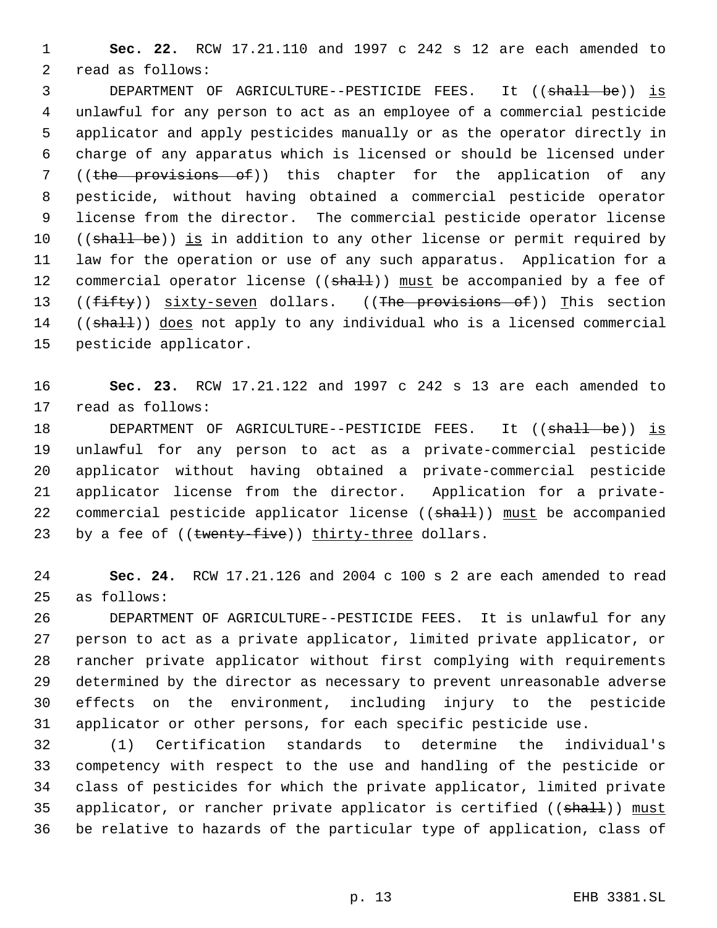**Sec. 22.** RCW 17.21.110 and 1997 c 242 s 12 are each amended to read as follows:

3 DEPARTMENT OF AGRICULTURE--PESTICIDE FEES. It ((shall be)) is unlawful for any person to act as an employee of a commercial pesticide applicator and apply pesticides manually or as the operator directly in charge of any apparatus which is licensed or should be licensed under 7 ((the provisions of)) this chapter for the application of any pesticide, without having obtained a commercial pesticide operator license from the director. The commercial pesticide operator license 10 ((shall be)) is in addition to any other license or permit required by law for the operation or use of any such apparatus. Application for a 12 commercial operator license ((shall)) must be accompanied by a fee of 13 ((fifty)) sixty-seven dollars. ((The provisions of)) This section 14 ((shall)) does not apply to any individual who is a licensed commercial pesticide applicator.

 **Sec. 23.** RCW 17.21.122 and 1997 c 242 s 13 are each amended to read as follows:

18 DEPARTMENT OF AGRICULTURE--PESTICIDE FEES. It ((shall be)) is unlawful for any person to act as a private-commercial pesticide applicator without having obtained a private-commercial pesticide applicator license from the director. Application for a private-22 commercial pesticide applicator license ((shall)) must be accompanied 23 by a fee of ((twenty-five)) thirty-three dollars.

 **Sec. 24.** RCW 17.21.126 and 2004 c 100 s 2 are each amended to read as follows:

 DEPARTMENT OF AGRICULTURE--PESTICIDE FEES. It is unlawful for any person to act as a private applicator, limited private applicator, or rancher private applicator without first complying with requirements determined by the director as necessary to prevent unreasonable adverse effects on the environment, including injury to the pesticide applicator or other persons, for each specific pesticide use.

 (1) Certification standards to determine the individual's competency with respect to the use and handling of the pesticide or class of pesticides for which the private applicator, limited private 35 applicator, or rancher private applicator is certified ((shall)) must be relative to hazards of the particular type of application, class of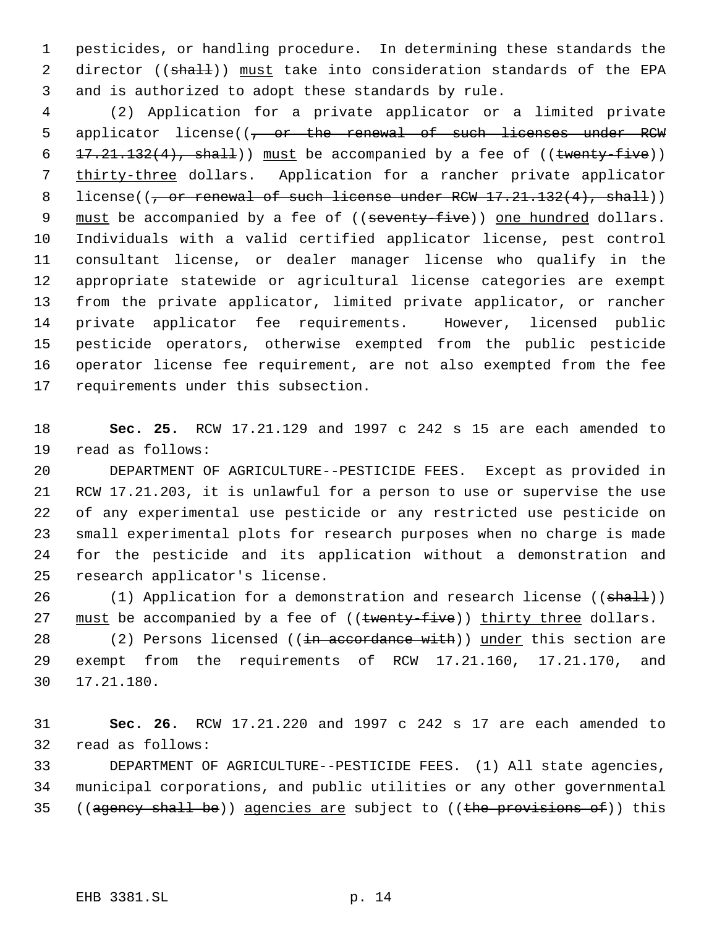pesticides, or handling procedure. In determining these standards the 2 director ((shall)) must take into consideration standards of the EPA and is authorized to adopt these standards by rule.

 (2) Application for a private applicator or a limited private 5 applicator license((<del>, or the renewal of such licenses under RCW</del>  $17.21.132(4)$ , shall)) must be accompanied by a fee of ((twenty-five)) 7 thirty-three dollars. Application for a rancher private applicator 8 license( $(-$ or renewal of such license under RCW  $17.21.132(4)$ , shall)) 9 must be accompanied by a fee of ((seventy-five)) one hundred dollars. Individuals with a valid certified applicator license, pest control consultant license, or dealer manager license who qualify in the appropriate statewide or agricultural license categories are exempt from the private applicator, limited private applicator, or rancher private applicator fee requirements. However, licensed public pesticide operators, otherwise exempted from the public pesticide operator license fee requirement, are not also exempted from the fee requirements under this subsection.

 **Sec. 25.** RCW 17.21.129 and 1997 c 242 s 15 are each amended to read as follows:

 DEPARTMENT OF AGRICULTURE--PESTICIDE FEES. Except as provided in RCW 17.21.203, it is unlawful for a person to use or supervise the use of any experimental use pesticide or any restricted use pesticide on small experimental plots for research purposes when no charge is made for the pesticide and its application without a demonstration and research applicator's license.

26 (1) Application for a demonstration and research license ((shall)) 27 must be accompanied by a fee of ((twenty-five)) thirty three dollars.

28 (2) Persons licensed ((in accordance with)) under this section are exempt from the requirements of RCW 17.21.160, 17.21.170, and 17.21.180.

 **Sec. 26.** RCW 17.21.220 and 1997 c 242 s 17 are each amended to read as follows:

 DEPARTMENT OF AGRICULTURE--PESTICIDE FEES. (1) All state agencies, municipal corporations, and public utilities or any other governmental 35 ((agency shall be)) agencies are subject to ((the provisions of)) this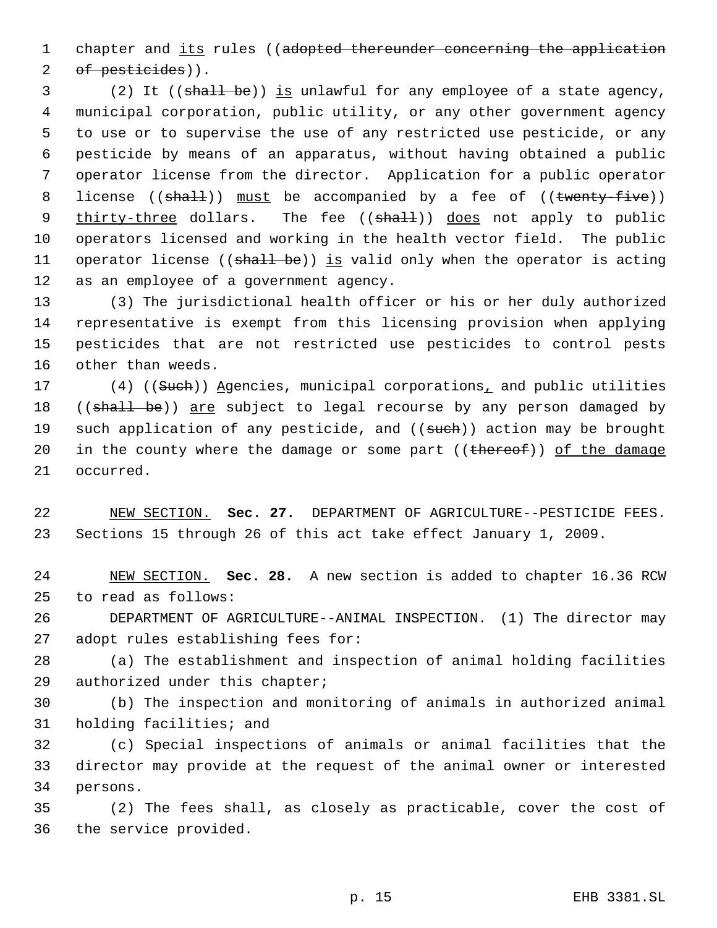1 chapter and its rules ((adopted thereunder concerning the application 2 of pesticides)).

3 (2) It ((shall be)) is unlawful for any employee of a state agency, municipal corporation, public utility, or any other government agency to use or to supervise the use of any restricted use pesticide, or any pesticide by means of an apparatus, without having obtained a public operator license from the director. Application for a public operator 8 license ((shall)) must be accompanied by a fee of ((twenty-five)) 9 thirty-three dollars. The fee ((shall)) does not apply to public operators licensed and working in the health vector field. The public 11 operator license ((shall be)) is valid only when the operator is acting as an employee of a government agency.

 (3) The jurisdictional health officer or his or her duly authorized representative is exempt from this licensing provision when applying pesticides that are not restricted use pesticides to control pests other than weeds.

17 (4) ((Such)) Agencies, municipal corporations, and public utilities 18 ((shall be)) are subject to legal recourse by any person damaged by 19 such application of any pesticide, and ((such)) action may be brought 20 in the county where the damage or some part ((thereof)) of the damage occurred.

 NEW SECTION. **Sec. 27.** DEPARTMENT OF AGRICULTURE--PESTICIDE FEES. Sections 15 through 26 of this act take effect January 1, 2009.

 NEW SECTION. **Sec. 28.** A new section is added to chapter 16.36 RCW to read as follows:

 DEPARTMENT OF AGRICULTURE--ANIMAL INSPECTION. (1) The director may adopt rules establishing fees for:

 (a) The establishment and inspection of animal holding facilities authorized under this chapter;

 (b) The inspection and monitoring of animals in authorized animal holding facilities; and

 (c) Special inspections of animals or animal facilities that the director may provide at the request of the animal owner or interested persons.

 (2) The fees shall, as closely as practicable, cover the cost of the service provided.